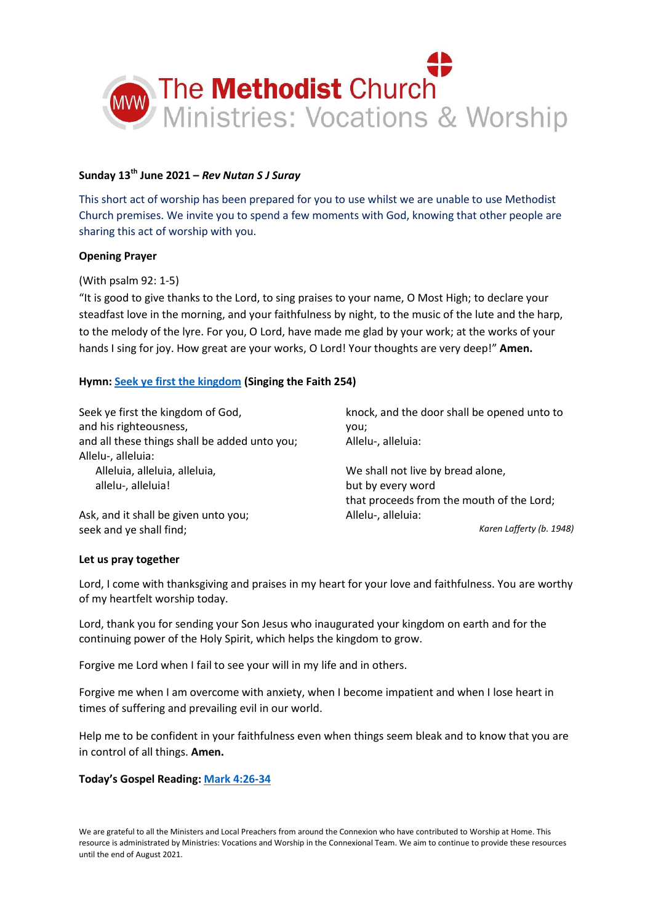

# **Sunday 13th June 2021 –** *Rev Nutan S J Suray*

This short act of worship has been prepared for you to use whilst we are unable to use Methodist Church premises. We invite you to spend a few moments with God, knowing that other people are sharing this act of worship with you.

## **Opening Prayer**

(With psalm 92: 1-5)

"It is good to give thanks to the Lord, to sing praises to your name, O Most High; to declare your steadfast love in the morning, and your faithfulness by night, to the music of the lute and the harp, to the melody of the lyre. For you, O Lord, have made me glad by your work; at the works of your hands I sing for joy. How great are your works, O Lord! Your thoughts are very deep!" **Amen.**

## **Hymn[: Seek ye first the kingdom](https://www.youtube.com/watch?v=FFxZeY2D5tc) (Singing the Faith 254)**

Seek ye first the kingdom of God, and his righteousness, and all these things shall be added unto you; Allelu-, alleluia: Alleluia, alleluia, alleluia, allelu-, alleluia!

knock, and the door shall be opened unto to you; Allelu-, alleluia:

We shall not live by bread alone, but by every word that proceeds from the mouth of the Lord; Allelu-, alleluia: *Karen Lafferty (b. 1948)*

Ask, and it shall be given unto you; seek and ye shall find;

## **Let us pray together**

Lord, I come with thanksgiving and praises in my heart for your love and faithfulness. You are worthy of my heartfelt worship today.

Lord, thank you for sending your Son Jesus who inaugurated your kingdom on earth and for the continuing power of the Holy Spirit, which helps the kingdom to grow.

Forgive me Lord when I fail to see your will in my life and in others.

Forgive me when I am overcome with anxiety, when I become impatient and when I lose heart in times of suffering and prevailing evil in our world.

Help me to be confident in your faithfulness even when things seem bleak and to know that you are in control of all things. **Amen.**

## **Today's Gospel Reading: Mark [4:26-34](https://www.biblegateway.com/passage/?search=Mark+4%3A26-34+&version=NIV)**

We are grateful to all the Ministers and Local Preachers from around the Connexion who have contributed to Worship at Home. This resource is administrated by Ministries: Vocations and Worship in the Connexional Team. We aim to continue to provide these resources until the end of August 2021.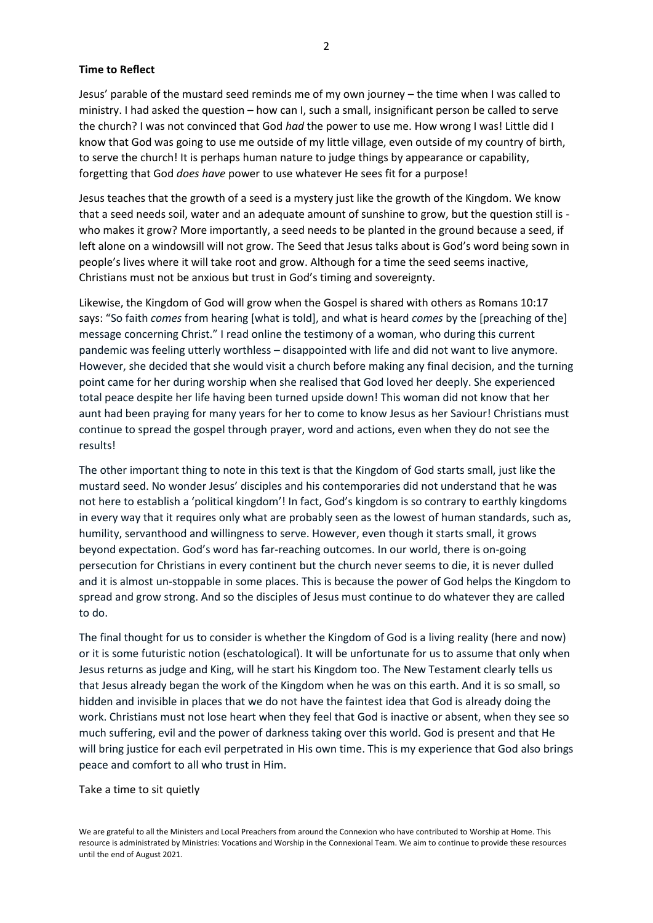### **Time to Reflect**

Jesus' parable of the mustard seed reminds me of my own journey – the time when I was called to ministry. I had asked the question – how can I, such a small, insignificant person be called to serve the church? I was not convinced that God *had* the power to use me. How wrong I was! Little did I know that God was going to use me outside of my little village, even outside of my country of birth, to serve the church! It is perhaps human nature to judge things by appearance or capability, forgetting that God *does have* power to use whatever He sees fit for a purpose!

Jesus teaches that the growth of a seed is a mystery just like the growth of the Kingdom. We know that a seed needs soil, water and an adequate amount of sunshine to grow, but the question still is who makes it grow? More importantly, a seed needs to be planted in the ground because a seed, if left alone on a windowsill will not grow. The Seed that Jesus talks about is God's word being sown in people's lives where it will take root and grow. Although for a time the seed seems inactive, Christians must not be anxious but trust in God's timing and sovereignty.

Likewise, the Kingdom of God will grow when the Gospel is shared with others as Romans 10:17 says: "So faith *comes* from hearing [what is told], and what is heard *comes* by the [preaching of the] message concerning Christ." I read online the testimony of a woman, who during this current pandemic was feeling utterly worthless – disappointed with life and did not want to live anymore. However, she decided that she would visit a church before making any final decision, and the turning point came for her during worship when she realised that God loved her deeply. She experienced total peace despite her life having been turned upside down! This woman did not know that her aunt had been praying for many years for her to come to know Jesus as her Saviour! Christians must continue to spread the gospel through prayer, word and actions, even when they do not see the results!

The other important thing to note in this text is that the Kingdom of God starts small, just like the mustard seed. No wonder Jesus' disciples and his contemporaries did not understand that he was not here to establish a 'political kingdom'! In fact, God's kingdom is so contrary to earthly kingdoms in every way that it requires only what are probably seen as the lowest of human standards, such as, humility, servanthood and willingness to serve. However, even though it starts small, it grows beyond expectation. God's word has far-reaching outcomes. In our world, there is on-going persecution for Christians in every continent but the church never seems to die, it is never dulled and it is almost un-stoppable in some places. This is because the power of God helps the Kingdom to spread and grow strong. And so the disciples of Jesus must continue to do whatever they are called to do.

The final thought for us to consider is whether the Kingdom of God is a living reality (here and now) or it is some futuristic notion (eschatological). It will be unfortunate for us to assume that only when Jesus returns as judge and King, will he start his Kingdom too. The New Testament clearly tells us that Jesus already began the work of the Kingdom when he was on this earth. And it is so small, so hidden and invisible in places that we do not have the faintest idea that God is already doing the work. Christians must not lose heart when they feel that God is inactive or absent, when they see so much suffering, evil and the power of darkness taking over this world. God is present and that He will bring justice for each evil perpetrated in His own time. This is my experience that God also brings peace and comfort to all who trust in Him.

#### Take a time to sit quietly

We are grateful to all the Ministers and Local Preachers from around the Connexion who have contributed to Worship at Home. This resource is administrated by Ministries: Vocations and Worship in the Connexional Team. We aim to continue to provide these resources until the end of August 2021.